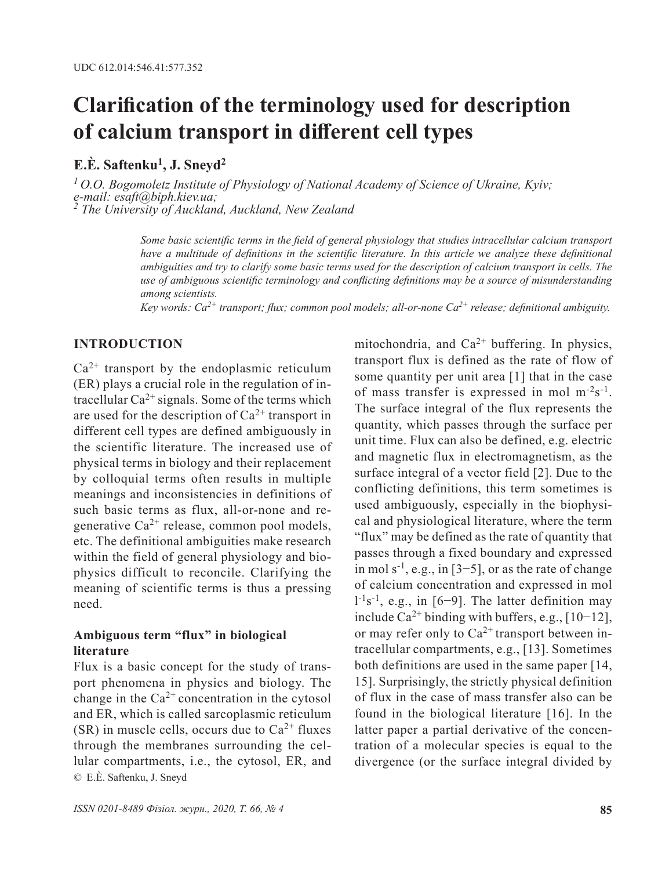# **Clarification of the terminology used for description of calcium transport in different cell types**

**E.È. Saftenku<sup>1</sup>, J. Sneyd<sup>2</sup>**

*1 O.O. Bogomoletz Institute of Physiology of National Academy of Science of Ukraine, Kyiv; e-mail: esaft@biph.kiev.ua; 2 The University of Auckland, Auckland, New Zealand*

> *Some basic scientific terms in the field of general physiology that studies intracellular calcium transport have a multitude of definitions in the scientific literature. In this article we analyze these definitional ambiguities and try to clarify some basic terms used for the description of calcium transport in cells. The use of ambiguous scientific terminology and conflicting definitions may be a source of misunderstanding among scientists.*

> *Key words: Ca2+ transport; flux; common pool models; all-or-none Ca2+ release; definitional ambiguity.*

# **INTRODUCTION**

 $Ca<sup>2+</sup>$  transport by the endoplasmic reticulum (ER) plays a crucial role in the regulation of intracellular  $Ca^{2+}$  signals. Some of the terms which are used for the description of  $Ca^{2+}$  transport in different cell types are defined ambiguously in the scientific literature. The increased use of physical terms in biology and their replacement by colloquial terms often results in multiple meanings and inconsistencies in definitions of such basic terms as flux, all-or-none and regenerative  $Ca^{2+}$  release, common pool models, etc. The definitional ambiguities make research within the field of general physiology and biophysics difficult to reconcile. Clarifying the meaning of scientific terms is thus a pressing need.

## **Ambiguous term "flux" in biological literature**

Flux is a basic concept for the study of transport phenomena in physics and biology. The change in the  $Ca^{2+}$  concentration in the cytosol and ER, which is called sarcoplasmic reticulum (SR) in muscle cells, occurs due to  $Ca^{2+}$  fluxes through the membranes surrounding the cellular compartments, i.e., the cytosol, ER, and © E.È. Saftenku, J. Sneyd

mitochondria, and  $Ca^{2+}$  buffering. In physics, transport flux is defined as the rate of flow of some quantity per unit area [1] that in the case of mass transfer is expressed in mol  $m^{-2}s^{-1}$ . The surface integral of the flux represents the quantity, which passes through the surface per unit time. Flux can also be defined, e.g. electric and magnetic flux in electromagnetism, as the surface integral of a vector field [2]. Due to the conflicting definitions, this term sometimes is used ambiguously, especially in the biophysical and physiological literature, where the term "flux" may be defined as the rate of quantity that passes through a fixed boundary and expressed in mol s<sup>-1</sup>, e.g., in [3–5], or as the rate of change of calcium concentration and expressed in mol  $1<sup>-1</sup>s<sup>-1</sup>$ , e.g., in [6–9]. The latter definition may include Ca<sup>2+</sup> binding with buffers, e.g.,  $[10-12]$ , or may refer only to  $Ca^{2+}$  transport between intracellular compartments, e.g., [13]. Sometimes both definitions are used in the same paper [14, 15]. Surprisingly, the strictly physical definition of flux in the case of mass transfer also can be found in the biological literature [16]. In the latter paper a partial derivative of the concentration of a molecular species is equal to the divergence (or the surface integral divided by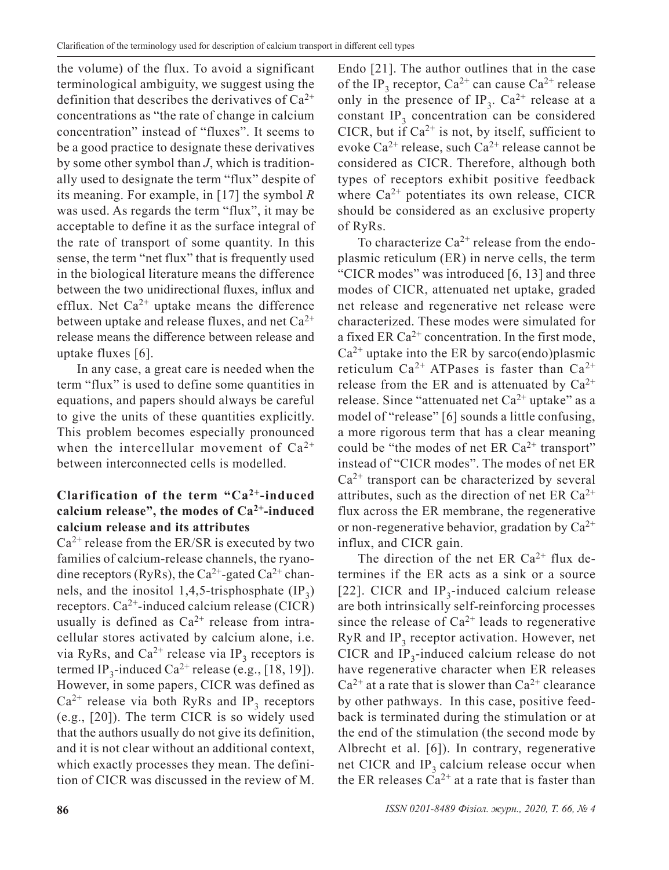the volume) of the flux. To avoid a significant terminological ambiguity, we suggest using the definition that describes the derivatives of  $Ca^{2+}$ concentrations as "the rate of change in calcium concentration" instead of "fluxes". It seems to be a good practice to designate these derivatives by some other symbol than *J*, which is traditionally used to designate the term "flux" despite of its meaning. For example, in [17] the symbol *R*  was used. As regards the term "flux", it may be acceptable to define it as the surface integral of the rate of transport of some quantity. In this sense, the term "net flux" that is frequently used in the biological literature means the difference between the two unidirectional fluxes, influx and efflux. Net  $Ca^{2+}$  uptake means the difference between uptake and release fluxes, and net  $Ca^{2+}$ release means the difference between release and uptake fluxes [6].

In any case, a great care is needed when the term "flux" is used to define some quantities in equations, and papers should always be careful to give the units of these quantities explicitly. This problem becomes especially pronounced when the intercellular movement of  $Ca^{2+}$ between interconnected cells is modelled.

# **Clarification of the term "Ca2+-induced calcium release", the modes of Ca2+-induced calcium release and its attributes**

 $Ca<sup>2+</sup>$  release from the ER/SR is executed by two families of calcium-release channels, the ryanodine receptors (RyRs), the Ca<sup>2+</sup>-gated Ca<sup>2+</sup> channels, and the inositol  $1,4,5$ -trisphosphate  $(\text{IP}_3)$ receptors.  $Ca^{2+}$ -induced calcium release (CICR) usually is defined as  $Ca^{2+}$  release from intracellular stores activated by calcium alone, i.e. via RyRs, and  $Ca^{2+}$  release via IP<sub>3</sub> receptors is termed IP<sub>3</sub>-induced Ca<sup>2+</sup> release (e.g., [18, 19]). However, in some papers, CICR was defined as  $Ca^{2+}$  release via both RyRs and IP<sub>3</sub> receptors (e.g., [20]). The term CICR is so widely used that the authors usually do not give its definition, and it is not clear without an additional context, which exactly processes they mean. The definition of CICR was discussed in the review of M. Endo [21]. The author outlines that in the case of the IP<sub>3</sub> receptor, Ca<sup>2+</sup> can cause Ca<sup>2+</sup> release only in the presence of IP<sub>3</sub>.  $Ca^{2+}$  release at a constant  $IP_3$  concentration can be considered CICR, but if  $Ca^{2+}$  is not, by itself, sufficient to evoke Ca2+ release, such Ca2+ release cannot be considered as CICR. Therefore, although both types of receptors exhibit positive feedback where  $Ca^{2+}$  potentiates its own release, CICR should be considered as an exclusive property of RyRs.

To characterize  $Ca^{2+}$  release from the endoplasmic reticulum (ER) in nerve cells, the term "CICR modes" was introduced [6, 13] and three modes of CICR, attenuated net uptake, graded net release and regenerative net release were characterized. These modes were simulated for a fixed ER  $Ca^{2+}$  concentration. In the first mode,  $Ca^{2+}$  uptake into the ER by sarco(endo)plasmic reticulum Ca<sup>2+</sup> ATPases is faster than Ca<sup>2+</sup> release from the ER and is attenuated by  $Ca^{2+}$ release. Since "attenuated net  $Ca^{2+}$  uptake" as a model of "release" [6] sounds a little confusing, a more rigorous term that has a clear meaning could be "the modes of net ER  $Ca^{2+}$  transport" instead of "CICR modes". The modes of net ER  $Ca<sup>2+</sup>$  transport can be characterized by several attributes, such as the direction of net ER  $Ca^{2+}$ flux across the ER membrane, the regenerative or non-regenerative behavior, gradation by  $Ca^{2+}$ influx, and CICR gain.

The direction of the net ER  $Ca^{2+}$  flux determines if the ER acts as a sink or a source [22]. CICR and IP<sub>3</sub>-induced calcium release are both intrinsically self-reinforcing processes since the release of  $Ca^{2+}$  leads to regenerative RyR and  $IP_3$  receptor activation. However, net CICR and  $IP_3$ -induced calcium release do not have regenerative character when ER releases  $Ca^{2+}$  at a rate that is slower than  $Ca^{2+}$  clearance by other pathways. In this case, positive feedback is terminated during the stimulation or at the end of the stimulation (the second mode by Albrecht et al. [6]). In contrary, regenerative net CICR and  $IP_3$  calcium release occur when the ER releases  $\tilde{Ca}^{2+}$  at a rate that is faster than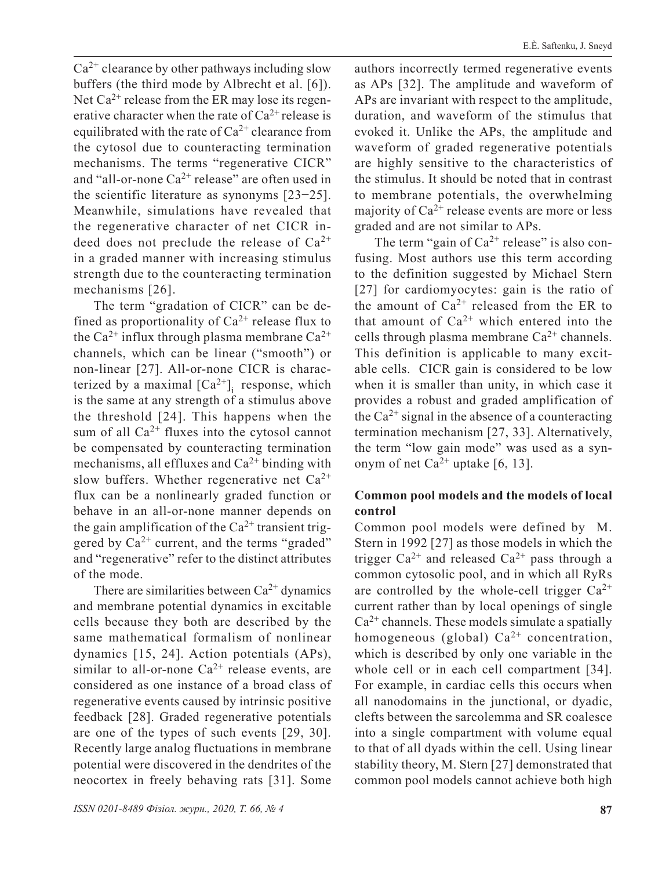$Ca^{2+}$  clearance by other pathways including slow buffers (the third mode by Albrecht et al. [6]). Net  $Ca^{2+}$  release from the ER may lose its regenerative character when the rate of  $Ca^{2+}$  release is equilibrated with the rate of  $Ca^{2+}$  clearance from the cytosol due to counteracting termination mechanisms. The terms "regenerative CICR" and "all-or-none  $Ca^{2+}$  release" are often used in the scientific literature as synonyms [23−25]. Meanwhile, simulations have revealed that the regenerative character of net CICR indeed does not preclude the release of  $Ca^{2+}$ in a graded manner with increasing stimulus strength due to the counteracting termination mechanisms [26].

The term "gradation of CICR" can be defined as proportionality of  $Ca^{2+}$  release flux to the Ca<sup>2+</sup> influx through plasma membrane Ca<sup>2+</sup> channels, which can be linear ("smooth") or non-linear [27]. All-or-none CICR is characterized by a maximal  $[Ca^{2+}]$ ; response, which is the same at any strength of a stimulus above the threshold [24]. This happens when the sum of all  $Ca^{2+}$  fluxes into the cytosol cannot be compensated by counteracting termination mechanisms, all effluxes and  $Ca^{2+}$  binding with slow buffers. Whether regenerative net  $Ca^{2+}$ flux can be a nonlinearly graded function or behave in an all-or-none manner depends on the gain amplification of the  $Ca^{2+}$  transient triggered by  $Ca^{2+}$  current, and the terms "graded" and "regenerative" refer to the distinct attributes of the mode.

There are similarities between  $Ca^{2+}$  dynamics and membrane potential dynamics in excitable cells because they both are described by the same mathematical formalism of nonlinear dynamics [15, 24]. Action potentials (APs), similar to all-or-none  $Ca^{2+}$  release events, are considered as one instance of a broad class of regenerative events caused by intrinsic positive feedback [28]. Graded regenerative potentials are one of the types of such events [29, 30]. Recently large analog fluctuations in membrane potential were discovered in the dendrites of the neocortex in freely behaving rats [31]. Some

authors incorrectly termed regenerative events as APs [32]. The amplitude and waveform of APs are invariant with respect to the amplitude, duration, and waveform of the stimulus that evoked it. Unlike the APs, the amplitude and waveform of graded regenerative potentials are highly sensitive to the characteristics of the stimulus. It should be noted that in contrast to membrane potentials, the overwhelming majority of  $Ca^{2+}$  release events are more or less graded and are not similar to APs.

The term "gain of  $Ca^{2+}$  release" is also confusing. Most authors use this term according to the definition suggested by Michael Stern [27] for cardiomyocytes: gain is the ratio of the amount of  $Ca^{2+}$  released from the ER to that amount of  $Ca^{2+}$  which entered into the cells through plasma membrane  $Ca^{2+}$  channels. This definition is applicable to many excitable cells. CICR gain is considered to be low when it is smaller than unity, in which case it provides a robust and graded amplification of the  $Ca^{2+}$  signal in the absence of a counteracting termination mechanism [27, 33]. Alternatively, the term "low gain mode" was used as a synonym of net  $Ca^{2+}$  uptake [6, 13].

# **Common pool models and the models of local control**

Common pool models were defined by M. Stern in 1992 [27] as those models in which the trigger Ca<sup>2+</sup> and released Ca<sup>2+</sup> pass through a common cytosolic pool, and in which all RyRs are controlled by the whole-cell trigger  $Ca^{2+}$ current rather than by local openings of single  $Ca<sup>2+</sup>$  channels. These models simulate a spatially homogeneous (global)  $Ca^{2+}$  concentration, which is described by only one variable in the whole cell or in each cell compartment [34]. For example, in cardiac cells this occurs when all nanodomains in the junctional, or dyadic, clefts between the sarcolemma and SR coalesce into a single compartment with volume equal to that of all dyads within the cell. Using linear stability theory, M. Stern [27] demonstrated that common pool models cannot achieve both high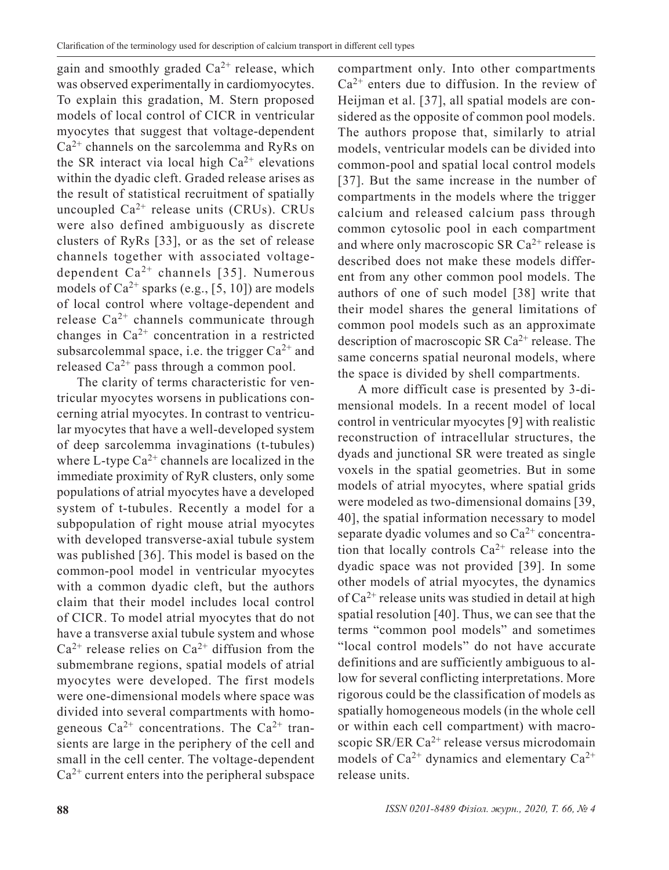gain and smoothly graded  $Ca^{2+}$  release, which was observed experimentally in cardiomyocytes. To explain this gradation, M. Stern proposed models of local control of CICR in ventricular myocytes that suggest that voltage-dependent Ca2+ channels on the sarcolemma and RyRs on the SR interact via local high  $Ca^{2+}$  elevations within the dyadic cleft. Graded release arises as the result of statistical recruitment of spatially uncoupled  $Ca^{2+}$  release units (CRUs). CRUs were also defined ambiguously as discrete clusters of RyRs [33], or as the set of release channels together with associated voltagedependent  $Ca^{2+}$  channels [35]. Numerous models of  $Ca^{2+}$  sparks (e.g., [5, 10]) are models of local control where voltage-dependent and release  $Ca^{2+}$  channels communicate through changes in  $Ca^{2+}$  concentration in a restricted subsarcolemmal space, i.e. the trigger  $Ca^{2+}$  and released  $Ca^{2+}$  pass through a common pool.

The clarity of terms characteristic for ventricular myocytes worsens in publications concerning atrial myocytes. In contrast to ventricular myocytes that have a well-developed system of deep sarcolemma invaginations (t-tubules) where L-type  $Ca^{2+}$  channels are localized in the immediate proximity of RyR clusters, only some populations of atrial myocytes have a developed system of t-tubules. Recently a model for a subpopulation of right mouse atrial myocytes with developed transverse-axial tubule system was published [36]. This model is based on the common-pool model in ventricular myocytes with a common dyadic cleft, but the authors claim that their model includes local control of CICR. To model atrial myocytes that do not have a transverse axial tubule system and whose  $Ca^{2+}$  release relies on  $Ca^{2+}$  diffusion from the submembrane regions, spatial models of atrial myocytes were developed. The first models were one-dimensional models where space was divided into several compartments with homogeneous  $Ca^{2+}$  concentrations. The  $Ca^{2+}$  transients are large in the periphery of the cell and small in the cell center. The voltage-dependent  $Ca<sup>2+</sup>$  current enters into the peripheral subspace

compartment only. Into other compartments  $Ca<sup>2+</sup>$  enters due to diffusion. In the review of Heijman et al. [37], all spatial models are considered as the opposite of common pool models. The authors propose that, similarly to atrial models, ventricular models can be divided into common-pool and spatial local control models [37]. But the same increase in the number of compartments in the models where the trigger calcium and released calcium pass through common cytosolic pool in each compartment and where only macroscopic SR  $Ca^{2+}$  release is described does not make these models different from any other common pool models. The authors of one of such model [38] write that their model shares the general limitations of common pool models such as an approximate description of macroscopic SR  $Ca^{2+}$  release. The same concerns spatial neuronal models, where the space is divided by shell compartments.

A more difficult case is presented by 3-dimensional models. In a recent model of local control in ventricular myocytes [9] with realistic reconstruction of intracellular structures, the dyads and junctional SR were treated as single voxels in the spatial geometries. But in some models of atrial myocytes, where spatial grids were modeled as two-dimensional domains [39, 40], the spatial information necessary to model separate dyadic volumes and so  $Ca^{2+}$  concentration that locally controls  $Ca^{2+}$  release into the dyadic space was not provided [39]. In some other models of atrial myocytes, the dynamics of  $Ca^{2+}$  release units was studied in detail at high spatial resolution [40]. Thus, we can see that the terms "common pool models" and sometimes "local control models" do not have accurate definitions and are sufficiently ambiguous to allow for several conflicting interpretations. More rigorous could be the classification of models as spatially homogeneous models (in the whole cell or within each cell compartment) with macroscopic SR/ER Ca<sup>2+</sup> release versus microdomain models of  $Ca^{2+}$  dynamics and elementary  $Ca^{2+}$ release units.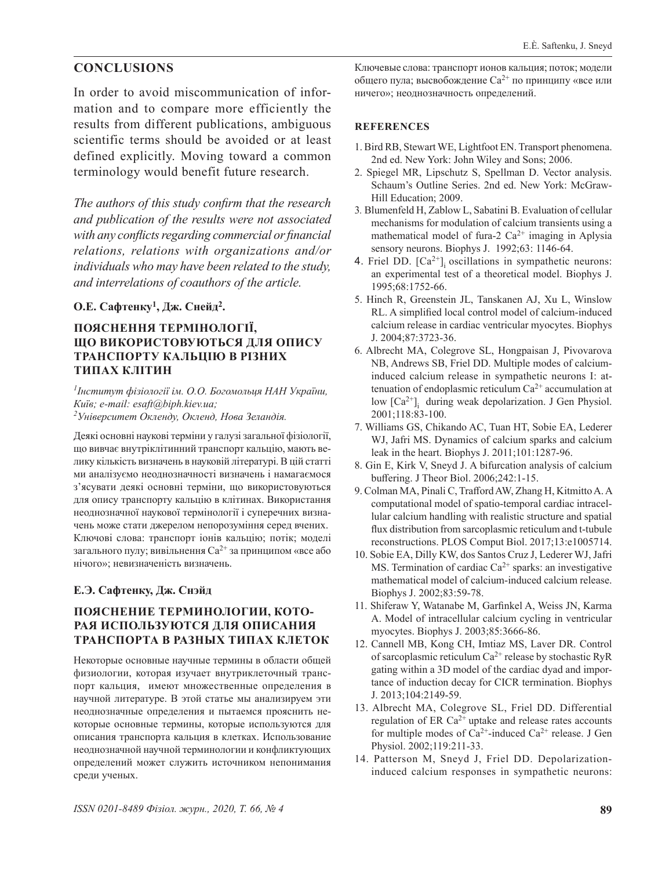#### **CONCLUSIONS**

In order to avoid miscommunication of information and to compare more efficiently the results from different publications, ambiguous scientific terms should be avoided or at least defined explicitly. Moving toward a common terminology would benefit future research.

*The authors of this study confirm that the research and publication of the results were not associated with any conflicts regarding commercial or financial relations, relations with organizations and/or individuals who may have been related to the study, and interrelations of coauthors of the article.*

#### **О.Е. Сафтенку<sup>1</sup>, Дж. Снейд<sup>2</sup>.**

## **ПОЯСНЕННЯ ТЕРМІНОЛОГІЇ, ЩО ВИКОРИСТОВУЮТЬСЯ ДЛЯ ОПИСУ ТРАНСПОРТУ КАЛЬЦІЮ В РІЗНИХ ТИПАХ КЛІТИН**

*1Інститут фізіології ім. О.О. Богомольця НАН України, Київ; e-mail: esaft@biph.kiev.ua; 2Університет Окленду, Окленд, Нова Зеландія.*

Деякі основні наукові терміни у галузі загальної фізіології, що вивчає внутріклітинний транспорт кальцію, мають велику кількість визначень в науковій літературі. В цій статті ми аналізуємо неоднозначності визначень і намагаємося з'ясувати деякі основні терміни, що використовуються для опису транспорту кальцію в клітинах. Використання неоднозначної наукової термінології і суперечних визначень може стати джерелом непорозуміння серед вчених. Ключові слова: транспорт іонів кальцію; потік; моделі загального пулу; вивільнення  $Ca^{2+}$ за принципом «все або нічого»; невизначеність визначень.

#### **Е.Э. Сафтенку, Дж. Снэйд**

#### **ПОЯСНЕНИЕ ТЕРМИНОЛОГИИ, КОТО-РАЯ ИСПОЛЬЗУЮТСЯ ДЛЯ ОПИСАНИЯ ТРАНСПОРТА В РАЗНЫХ ТИПАХ КЛЕТОК**

Некоторые основные научные термины в области общей физиологии, которая изучает внутриклеточный транспорт кальция, имеют множественные определения в научной литературе. В этой статье мы анализируем эти неоднозначные определения и пытаемся прояснить некоторые основные термины, которые используются для описания транспорта кальция в клетках. Использование неоднозначной научной терминологии и конфликтующих определений может служить источником непонимания среди ученых.

Ключевые слова: транспорт ионов кальция; поток; модели общего пула; высвобождение  $Ca^{2+}$  по принципу «все или ничего»; неоднозначность определений.

#### **REFERENCES**

- 1. Bird RB, Stewart WE, Lightfoot EN. Transport phenomena. 2nd ed. New York: John Wiley and Sons; 2006.
- 2. Spiegel MR, Lipschutz S, Spellman D. Vector analysis. Schaum's Outline Series. 2nd ed. New York: McGraw-Hill Education; 2009.
- 3*.* Blumenfeld H, Zablow L, Sabatini B. Evaluation of cellular mechanisms for modulation of calcium transients using a mathematical model of fura-2  $Ca^{2+}$  imaging in Aplysia sensory neurons. Biophys J. 1992;63: 1146-64.
- 4. Friel DD.  $[Ca^{2+}]$ ; oscillations in sympathetic neurons: an experimental test of a theoretical model. Biophys J. 1995;68:1752-66.
- 5. Hinch R, Greenstein JL, Tanskanen AJ, Xu L, Winslow RL. A simplified local control model of calcium-induced calcium release in cardiac ventricular myocytes. Biophys J. 2004;87:3723-36.
- 6. Albrecht MA, Colegrove SL, Hongpaisan J, Pivovarova NB, Andrews SB, Friel DD. Multiple modes of calciuminduced calcium release in sympathetic neurons I: attenuation of endoplasmic reticulum  $Ca^{2+}$  accumulation at low  $[Ca^{2+}]$ <sub>i</sub> during weak depolarization. J Gen Physiol. 2001;118:83-100.
- 7. Williams GS, Chikando AC, Tuan HT, Sobie EA, Lederer WJ, Jafri MS. Dynamics of calcium sparks and calcium leak in the heart. Biophys J. 2011;101:1287-96.
- 8. Gin E, Kirk V, Sneyd J. A bifurcation analysis of calcium buffering. J Theor Biol. 2006;242:1-15.
- 9. Colman MA, Pinali C, Trafford AW, Zhang H, Kitmitto A. A computational model of spatio-temporal cardiac intracellular calcium handling with realistic structure and spatial flux distribution from sarcoplasmic reticulum and t-tubule reconstructions. PLOS Comput Biol. 2017;13:e1005714.
- 10. Sobie EA, Dilly KW, dos Santos Cruz J, Lederer WJ, Jafri MS. Termination of cardiac  $Ca^{2+}$  sparks: an investigative mathematical model of calcium-induced calcium release. Biophys J. 2002;83:59-78.
- 11. Shiferaw Y, Watanabe M, Garfinkel A, Weiss JN, Karma A. Model of intracellular calcium cycling in ventricular myocytes. Biophys J. 2003;85:3666-86.
- 12. Cannell MB, Kong CH, Imtiaz MS, Laver DR. Control of sarcoplasmic reticulum  $Ca^{2+}$  release by stochastic RyR gating within a 3D model of the cardiac dyad and importance of induction decay for CICR termination. Biophys J. 2013;104:2149-59.
- 13. Albrecht MA, Colegrove SL, Friel DD. Differential regulation of ER  $Ca^{2+}$  uptake and release rates accounts for multiple modes of  $Ca^{2+}$ -induced  $Ca^{2+}$  release. J Gen Physiol. 2002;119:211-33.
- 14. Patterson M, Sneyd J, Friel DD. Depolarizationinduced calcium responses in sympathetic neurons: